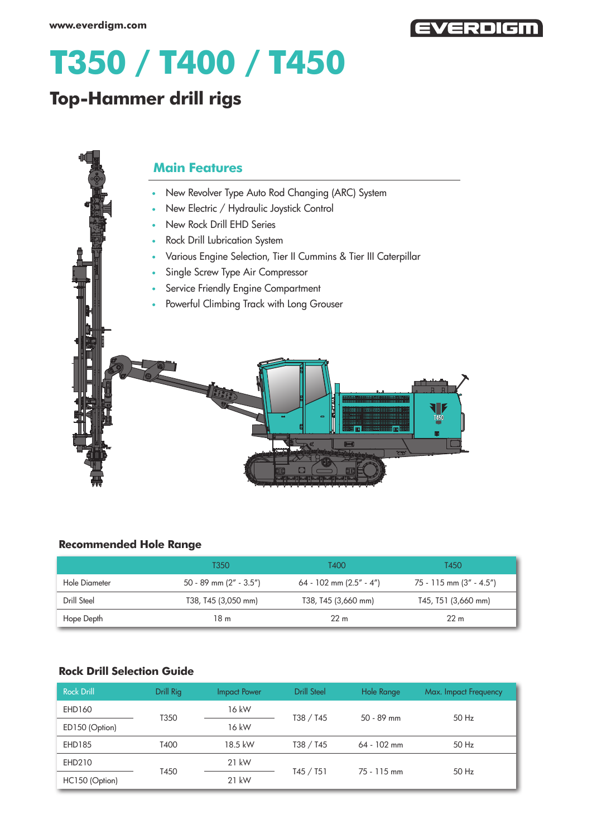

# **T350 / T400 / T450**

## **Top-Hammer drill rigs**

## **Main Features**

- New Revolver Type Auto Rod Changing (ARC) System
- New Electric / Hydraulic Joystick Control
- New Rock Drill EHD Series
- Rock Drill Lubrication System  $\bullet$
- Various Engine Selection, Tier II Cummins & Tier III Caterpillar
- Single Screw Type Air Compressor
- **Service Friendly Engine Compartment**
- Powerful Climbing Track with Long Grouser



#### **Recommended Hole Range**

|               | T350                     | T400                    | T450                    |
|---------------|--------------------------|-------------------------|-------------------------|
| Hole Diameter | 50 - 89 mm $(2" - 3.5")$ | 64 - 102 mm (2.5" - 4") | 75 - 115 mm (3" - 4.5") |
| Drill Steel   | T38, T45 (3,050 mm)      | T38, T45 (3,660 mm)     | T45, T51 (3,660 mm)     |
| Hope Depth    | 18 m                     | 22 <sub>m</sub>         | 22 <sub>m</sub>         |

### **Rock Drill Selection Guide**

| <b>Rock Drill</b> | Drill Rig | <b>Impact Power</b> | <b>Drill Steel</b> | Hole Range    | Max. Impact Frequency |
|-------------------|-----------|---------------------|--------------------|---------------|-----------------------|
| EHD160            | T350      | 16 kW               | T38 / T45          | $50 - 89$ mm  | 50 Hz                 |
| ED150 (Option)    |           | 16 kW               |                    |               |                       |
| <b>EHD185</b>     | T400      | 18.5 kW             | T38 / T45          | $64 - 102$ mm | 50 Hz                 |
| EHD210            |           | $21$ kW             |                    | 75 - 115 mm   | 50 Hz                 |
| HC150 (Option)    | T450      | $21$ kW             | T45/ T51           |               |                       |